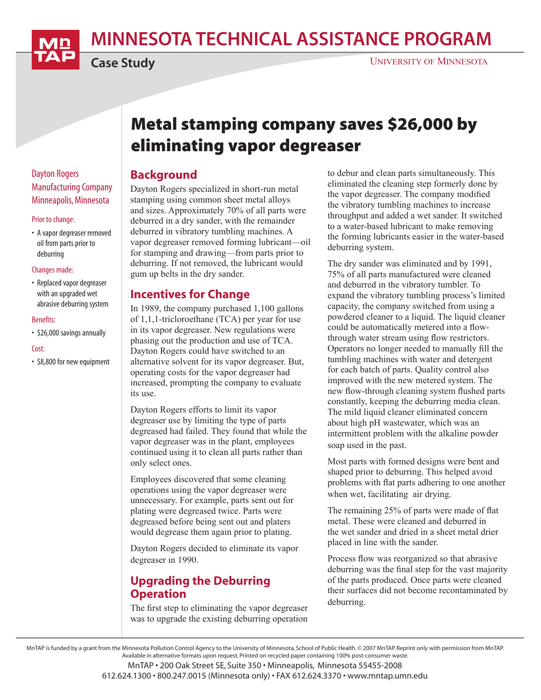MINNESOTA TECHNICAL ASSISTANCE PROGRAM



Case Study

# Metal stamping company saves \$26,000 by eliminating vapor degreaser

### Background

Dayton Rogers specialized in short-run metal stamping using common sheet metal alloys and sizes. Approximately 70% of all parts were deburred in a dry sander, with the remainder deburred in vibratory tumbling machines. A vapor degreaser removed forming lubricant—oil for stamping and drawing—from parts prior to deburring. If not removed, the lubricant would gum up belts in the dry sander.

### Incentives for Change

In 1989, the company purchased 1,100 gallons of 1,1,1-tricloroethane (TCA) per year for use in its vapor degreaser. New regulations were phasing out the production and use of TCA. Dayton Rogers could have switched to an alternative solvent for its vapor degreaser. But, operating costs for the vapor degreaser had increased, prompting the company to evaluate its use.

Dayton Rogers efforts to limit its vapor degreaser use by limiting the type of parts degreased had failed. They found that while the vapor degreaser was in the plant, employees continued using it to clean all parts rather than only select ones.

Employees discovered that some cleaning operations using the vapor degreaser were unnecessary. For example, parts sent out for plating were degreased twice. Parts were degreased before being sent out and platers would degrease them again prior to plating.

Dayton Rogers decided to eliminate its vapor degreaser in 1990.

# Upgrading the Deburring **Operation**

The first step to eliminating the vapor degreaser was to upgrade the existing deburring operation to debur and clean parts simultaneously. This eliminated the cleaning step formerly done by the vapor degreaser. The company modified the vibratory tumbling machines to increase throughput and added a wet sander. It switched to a water-based lubricant to make removing the forming lubricants easier in the water-based deburring system.

The dry sander was eliminated and by 1991, 75% of all parts manufactured were cleaned and deburred in the vibratory tumbler. To expand the vibratory tumbling process's limited capacity, the company switched from using a powdered cleaner to a liquid. The liquid cleaner could be automatically metered into a flowthrough water stream using flow restrictors. Operators no longer needed to manually fill the tumbling machines with water and detergent for each batch of parts. Quality control also improved with the new metered system. The new flow-through cleaning system flushed parts constantly, keeping the deburring media clean. The mild liquid cleaner eliminated concern about high pH wastewater, which was an intermittent problem with the alkaline powder soap used in the past.

Most parts with formed designs were bent and shaped prior to deburring. This helped avoid problems with flat parts adhering to one another when wet, facilitating air drying.

The remaining 25% of parts were made of flat metal. These were cleaned and deburred in the wet sander and dried in a sheet metal drier placed in line with the sander.

Process flow was reorganized so that abrasive deburring was the final step for the vast majority of the parts produced. Once parts were cleaned their surfaces did not become recontaminated by deburring.

MnTAP is funded by a grant from the Minnesota Pollution Control Agency to the University of Minnesota, School of Public Health. © 2007 MnTAP. Reprint only with permission from MnTAP. Available in alternative formats upon request. Printed on recycled paper containing 100% post-consumer waste.

MnTAP • 200 Oak Street SE, Suite 350 • Minneapolis, Minnesota 55455-2008

612.624.1300 • 800.247.0015 (Minnesota only) • FAX 612.624.3370 • www.mntap.umn.edu

### Dayton Rogers Manufacturing Company Minneapolis, Minnesota

#### Prior to change:

• A vapor degreaser removed oil from parts prior to deburring

#### Changes made:

• Replaced vapor degreaser with an upgraded wet abrasive deburring system

#### Benefits:

• \$26,000 savings annually

#### Cost:

• \$8,800 for new equipment